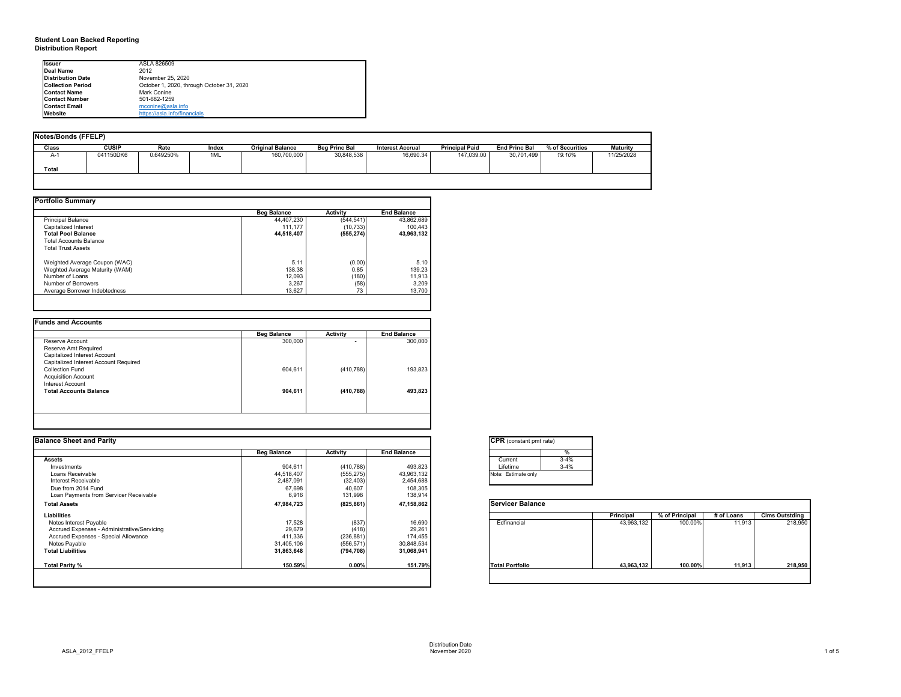## **Student Loan Backed Reporting Distribution Report**

## **Notes/Bonds (FFELP)**

| Notes/Bonds (FFELP) |              |           |       |                         |                      |                  |                       |                      |                 |                 |
|---------------------|--------------|-----------|-------|-------------------------|----------------------|------------------|-----------------------|----------------------|-----------------|-----------------|
| <b>Class</b>        | <b>CUSIP</b> | Rate      | Index | <b>Original Balance</b> | <b>Beg Princ Bal</b> | Interest Accrual | <b>Principal Paid</b> | <b>End Princ Bal</b> | % of Securities | <b>Maturity</b> |
| $A-1$               | 041150DK6    | 0.649250% | 1ML   | 160,700,000             | 30,848,538           | 16,690.34        | 147,039.00            | 30,701,499           | 19.10%          | 11/25/2028      |
| <b>Total</b>        |              |           |       |                         |                      |                  |                       |                      |                 |                 |
|                     |              |           |       |                         |                      |                  |                       |                      |                 |                 |

| <b>Portfolio Summary</b>       |                    |                 |                    |
|--------------------------------|--------------------|-----------------|--------------------|
|                                | <b>Beg Balance</b> | <b>Activity</b> | <b>End Balance</b> |
| <b>Principal Balance</b>       | 44,407,230         | (544, 541)      | 43,862,689         |
| Capitalized Interest           | 111,177            | (10, 733)       | 100,443            |
| <b>Total Pool Balance</b>      | 44,518,407         | (555, 274)      | 43,963,132         |
| <b>Total Accounts Balance</b>  |                    |                 |                    |
| <b>Total Trust Assets</b>      |                    |                 |                    |
| Weighted Average Coupon (WAC)  | 5.11               | (0.00)          | 5.10               |
| Weghted Average Maturity (WAM) | 138.38             | 0.85            | 139.23             |
| Number of Loans                | 12,093             | (180)           | 11,913             |
| Number of Borrowers            | 3,267              | (58)            | 3,209              |
| Average Borrower Indebtedness  | 13,627             | 73              | 13,700             |
|                                |                    |                 |                    |

|                                       | <b>Beg Balance</b> | <b>Activity</b> | <b>End Balance</b> |
|---------------------------------------|--------------------|-----------------|--------------------|
| Reserve Account                       | 300,000            |                 | 300,000            |
| Reserve Amt Required                  |                    |                 |                    |
| <b>Capitalized Interest Account</b>   |                    |                 |                    |
| Capitalized Interest Account Required |                    |                 |                    |
| <b>Collection Fund</b>                | 604,611            | (410, 788)      | 193,823            |
| <b>Acquisition Account</b>            |                    |                 |                    |
| <b>Interest Account</b>               |                    |                 |                    |
| <b>Total Accounts Balance</b>         | 904,611            | (410, 788)      | 493,823            |
|                                       |                    |                 |                    |
|                                       |                    |                 |                    |

| onstant pmt rate) |          |
|-------------------|----------|
|                   | %        |
| ent               | $3 - 4%$ |
| me                | $3 - 4%$ |
| timate only       |          |
|                   |          |

|          | <b>Principal</b> | % of Principal | # of Loans | <b>Clms Outstding</b> |
|----------|------------------|----------------|------------|-----------------------|
| ancial   | 43,963,132       | 100.00%        | 11,913     | 218,950               |
| ortfolio | 43,963,132       | 100.00%        | 11,913     | 218,950               |

| <b>Issuer</b>            | ASLA 826509                               |  |
|--------------------------|-------------------------------------------|--|
| Deal Name                | 2012                                      |  |
| <b>Distribution Date</b> | November 25, 2020                         |  |
| <b>Collection Period</b> | October 1, 2020, through October 31, 2020 |  |
| <b>Contact Name</b>      | Mark Conine                               |  |
| <b>Contact Number</b>    | 501-682-1259                              |  |
| <b>Contact Email</b>     | mconine@asla.info                         |  |
| <b>I</b> Website         | https://asla.info/financials              |  |

| <b>Balance Sheet and Parity</b>             |                    |                 |                    | <b>CPR</b> (constant pmt rate) |          |            |                |            |                       |
|---------------------------------------------|--------------------|-----------------|--------------------|--------------------------------|----------|------------|----------------|------------|-----------------------|
|                                             | <b>Beg Balance</b> | <b>Activity</b> | <b>End Balance</b> |                                |          |            |                |            |                       |
| <b>Assets</b>                               |                    |                 |                    | Current                        | $3 - 4%$ |            |                |            |                       |
| Investments                                 | 904,611            | (410, 788)      | 493,823            | Lifetime                       | $3 - 4%$ |            |                |            |                       |
| Loans Receivable                            | 44,518,407         | (555, 275)      | 43,963,132         | Note: Estimate only            |          |            |                |            |                       |
| Interest Receivable                         | 2,487,091          | (32, 403)       | 2,454,688          |                                |          |            |                |            |                       |
| Due from 2014 Fund                          | 67,698             | 40,607          | 108,305            |                                |          |            |                |            |                       |
| Loan Payments from Servicer Receivable      | 6,916              | 131,998         | 138,914            |                                |          |            |                |            |                       |
| <b>Total Assets</b>                         | 47,984,723         | (825, 861)      | 47,158,862         | <b>Servicer Balance</b>        |          |            |                |            |                       |
| <b>Liabilities</b>                          |                    |                 |                    |                                |          | Principal  | % of Principal | # of Loans | <b>Clms Outstding</b> |
| Notes Interest Payable                      | 17,528             | (837)           | 16,690             | Edfinancial                    |          | 43,963,132 | 100.00%        | 11,913     | 218,950               |
| Accrued Expenses - Administrative/Servicing | 29,679             | (418)           | 29,261             |                                |          |            |                |            |                       |
| Accrued Expenses - Special Allowance        | 411,336            | (236, 881)      | 174,455            |                                |          |            |                |            |                       |
| Notes Payable                               | 31,405,106         | (556, 571)      | 30,848,534         |                                |          |            |                |            |                       |
| <b>Total Liabilities</b>                    | 31,863,648         | (794, 708)      | 31,068,941         |                                |          |            |                |            |                       |
| Total Parity %                              | 150.59%            | 0.00%           | 151.79%            | <b>Total Portfolio</b>         |          | 43,963,132 | 100.00%        | 11,913     | 218,950               |
|                                             |                    |                 |                    |                                |          |            |                |            |                       |



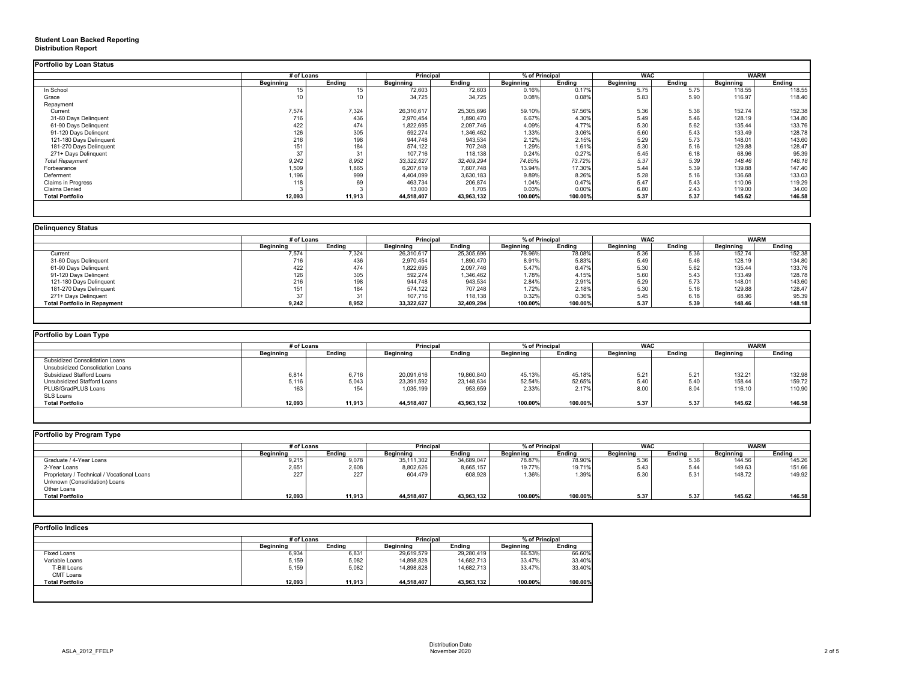## **Student Loan Backed Reporting Distribution Report**

|                           | # of Loans       |                 | <b>Principal</b> |               | % of Principal   |               | <b>WAC</b>       |               | <b>WARM</b>      |               |
|---------------------------|------------------|-----------------|------------------|---------------|------------------|---------------|------------------|---------------|------------------|---------------|
|                           | <b>Beginning</b> | <b>Ending</b>   | <b>Beginning</b> | <b>Ending</b> | <b>Beginning</b> | <b>Ending</b> | <b>Beginning</b> | <b>Ending</b> | <b>Beginning</b> | <b>Ending</b> |
| In School                 | 15               | 15              | 72,603           | 72,603        | 0.16%            | 0.17%         | 5.75             | 5.75          | 118.55           | 118.55        |
| Grace                     |                  | 10 <sub>1</sub> | 34,725           | 34,725        | 0.08%            | 0.08%         | 5.83             | 5.90          | 116.97           | 118.40        |
| Repayment                 |                  |                 |                  |               |                  |               |                  |               |                  |               |
| Current                   | 7,574            | 7,324           | 26,310,617       | 25,305,696    | 59.10%           | 57.56%        | 5.36             | 5.36          | 152.74           | 152.38        |
| 31-60 Days Delinquent     | 716              | 436             | 2,970,454        | 1,890,470     | 6.67%            | 4.30%         | 5.49             | 5.46          | 128.19           | 134.80        |
| 61-90 Days Delinquent     | 422              | 474             | 1,822,695        | 2,097,746     | 4.09%            | 4.77%         | 5.30             | 5.62          | 135.44           | 133.76        |
| 91-120 Days Delingent     | 126              | 305             | 592,274          | 1,346,462     | 1.33%            | 3.06%         | 5.60             | 5.43          | 133.49           | 128.78        |
| 121-180 Days Delinquent   | 216              | 198             | 944,748          | 943,534       | 2.12%            | 2.15%         | 5.29             | 5.73          | 148.01           | 143.60        |
| 181-270 Days Delinquent   | 151              | 184             | 574,122          | 707,248       | 1.29%            | 1.61%         | 5.30             | 5.16          | 129.88           | 128.47        |
| 271+ Days Delinquent      | 37               | 31              | 107,716          | 118,138       | 0.24%            | 0.27%         | 5.45             | 6.18          | 68.96            | 95.39         |
| <b>Total Repayment</b>    | 9,242            | 8,952           | 33, 322, 627     | 32,409,294    | 74.85%           | 73.72%        | 5.37             | 5.39          | 148.46           | 148.18        |
| Forbearance               | 1,509            | 1,865           | 6,207,619        | 7,607,748     | 13.94%           | 17.30%        | 5.44             | 5.39          | 139.88           | 147.40        |
| Deferment                 | 1,196            | 999             | 4,404,099        | 3,630,183     | 9.89%            | 8.26%         | 5.28             | 5.16          | 136.68           | 133.03        |
| <b>Claims in Progress</b> | 118              | 69              | 463,734          | 206,874       | 1.04%            | 0.47%         | 5.47             | 5.43          | 110.06           | 119.29        |
| <b>Claims Denied</b>      |                  |                 | 13,000           | 1,705         | 0.03%            | 0.00%         | 6.80             | 2.43          | 119.00           | 34.00         |
| <b>Total Portfolio</b>    | 12,093           | 11,913          | 44,518,407       | 43,963,132    | 100.00%          | 100.00%       | 5.37             | 5.37          | 145.62           | 146.58        |

|                                     | # of Loans       |               | Principal        |               | % of Principal   |               | <b>WAC</b>       |               | <b>WARM</b>      |               |
|-------------------------------------|------------------|---------------|------------------|---------------|------------------|---------------|------------------|---------------|------------------|---------------|
|                                     | <b>Beginning</b> | <b>Ending</b> | <b>Beginning</b> | <b>Ending</b> | <b>Beginning</b> | <b>Ending</b> | <b>Beginning</b> | <b>Ending</b> | <b>Beginning</b> | <b>Ending</b> |
| Current                             | 7,574            | 7,324         | 26,310,617       | 25,305,696    | 78.96%           | 78.08%        | 5.36             | 5.36          | 152.74           | 152.38        |
| 31-60 Days Delinquent               | 716              | 436           | 2,970,454        | 1,890,470     | 8.91%            | 5.83%         | 5.49             | 5.46          | 128.19           | 134.80        |
| 61-90 Days Delinquent               | 422              | 474           | 1,822,695        | 2,097,746     | 5.47%            | 6.47%         | 5.30             | 5.62          | 135.44           | 133.76        |
| 91-120 Days Delingent               | 126              | 305           | 592,274          | 1,346,462     | 1.78%            | 4.15%         | 5.60             | 5.43          | 133.49           | 128.78        |
| 121-180 Days Delinquent             | 216              | 198           | 944,748          | 943,534       | 2.84%            | 2.91%         | 5.29             | 5.73          | 148.01           | 143.60        |
| 181-270 Days Delinquent             | 151              | 184           | 574,122          | 707,248       | 1.72%            | 2.18%         | 5.30             | 5.16          | 129.88           | 128.47        |
| 271+ Days Delinquent                |                  | 31            | 107,716          | 118,138       | 0.32%            | 0.36%         | 5.45             | 6.18          | 68.96            | 95.39         |
| <b>Total Portfolio in Repayment</b> | 9,242            | 8,952         | 33,322,627       | 32,409,294    | 100.00%          | 100.00%       | 5.37             | 5.39          | 148.46           | 148.18        |

|                                       |                  | # of Loans    |                  | <b>Principal</b> | % of Principal   |               | <b>WAC</b>       |        | <b>WARM</b>      |        |
|---------------------------------------|------------------|---------------|------------------|------------------|------------------|---------------|------------------|--------|------------------|--------|
|                                       | <b>Beginning</b> | <b>Ending</b> | <b>Beginning</b> | <b>Ending</b>    | <b>Beginning</b> | <b>Ending</b> | <b>Beginning</b> | Ending | <b>Beginning</b> | Ending |
| <b>Subsidized Consolidation Loans</b> |                  |               |                  |                  |                  |               |                  |        |                  |        |
| Unsubsidized Consolidation Loans      |                  |               |                  |                  |                  |               |                  |        |                  |        |
| <b>Subsidized Stafford Loans</b>      | 6,814            | 6,716         | 20,091,616       | 19,860,840       | 45.13%           | 45.18%        | 5.21             | 5.21   | 132.21           | 132.98 |
| Unsubsidized Stafford Loans           | 5,116            | 5,043         | 23,391,592       | 23,148,634       | 52.54%           | 52.65%        | 5.40             | 5.40   | 158.44           | 159.72 |
| PLUS/GradPLUS Loans                   | 163 <sub>1</sub> | 154           | 1,035,199        | 953,659          | 2.33%            | 2.17%         | 8.00             | 8.04   | 116.10           | 110.90 |
| SLS Loans                             |                  |               |                  |                  |                  |               |                  |        |                  |        |
| <b>Total Portfolio</b>                | 12,093           | 11,913        | 44,518,407       | 43,963,132       | 100.00%          | 100.00%       | 5.37             | 5.37   | 145.62           | 146.58 |

|                                            | # of Loans       |               | <b>Principal</b> | % of Principal |                  | <b>WAC</b>    |                  |               | <b>WARM</b>      |               |
|--------------------------------------------|------------------|---------------|------------------|----------------|------------------|---------------|------------------|---------------|------------------|---------------|
|                                            | <b>Beginning</b> | <b>Ending</b> | <b>Beginning</b> | <b>Ending</b>  | <b>Beginning</b> | <b>Ending</b> | <b>Beginning</b> | <b>Ending</b> | <b>Beginning</b> | <b>Ending</b> |
| Graduate / 4-Year Loans                    | 9,215            | 9,078         | 35,111,302       | 34,689,047     | 78.87%           | 78.90%        | 5.36             | 5.36          | 144.56           | 145.26        |
| 2-Year Loans                               | 2,651            | 2,608         | 8,802,626        | 8,665,157      | 19.77%           | 19.71%        | 5.43             | 5.44          | 149.63           | 151.66        |
| Proprietary / Technical / Vocational Loans | 227              | 227           | 604,479          | 608,928        | 1.36%            | 1.39%         | 5.3C             | 5.31          | 148.72           | 149.92        |
| Unknown (Consolidation) Loans              |                  |               |                  |                |                  |               |                  |               |                  |               |
| Other Loans                                |                  |               |                  |                |                  |               |                  |               |                  |               |
| <b>Total Portfolio</b>                     | 12,093           | 11,913        | 44,518,407       | 43,963,132     | 100.00%          | 100.00%       | 5.37             | 5.37          | 145.62           | 146.58        |

|                        | # of Loans       |               | Principal        |               | % of Principal   |               |  |
|------------------------|------------------|---------------|------------------|---------------|------------------|---------------|--|
|                        | <b>Beginning</b> | <b>Ending</b> | <b>Beginning</b> | <b>Ending</b> | <b>Beginning</b> | <b>Ending</b> |  |
| <b>Fixed Loans</b>     | 6,934            | 6,831         | 29,619,579       | 29,280,419    | 66.53%           | 66.60%        |  |
| Variable Loans         | 5,159            | 5,082         | 14,898,828       | 14,682,713    | 33.47%           | 33.40%        |  |
| T-Bill Loans           | 5,159            | 5,082         | 14,898,828       | 14,682,713    | 33.47%           | 33.40%        |  |
| <b>CMT Loans</b>       |                  |               |                  |               |                  |               |  |
| <b>Total Portfolio</b> | 12,093           | 11,913        | 44,518,407       | 43,963,132    | 100.00%          | 100.00%       |  |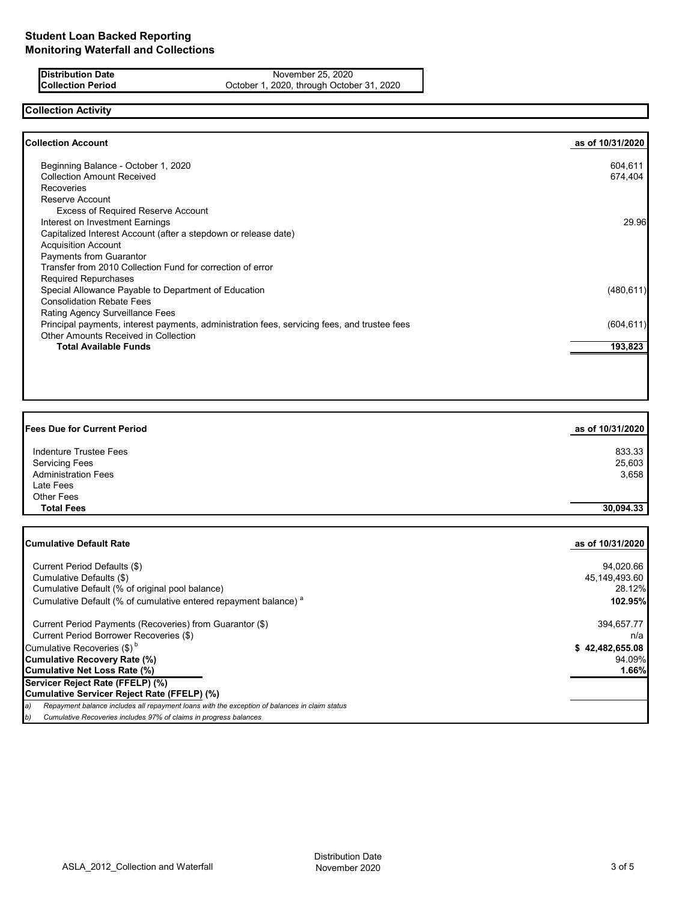## **Distribution Date** November 25, 2020<br> **Collection Period** October 1, 2020, through Octobe October 1, 2020, through October 31, 2020

# **Collection Activity**

| <b>Collection Account</b>                                                                    | as of 10/31/2020 |
|----------------------------------------------------------------------------------------------|------------------|
| Beginning Balance - October 1, 2020                                                          | 604,611          |
| <b>Collection Amount Received</b>                                                            | 674,404          |
| <b>Recoveries</b>                                                                            |                  |
| Reserve Account                                                                              |                  |
| <b>Excess of Required Reserve Account</b>                                                    |                  |
| Interest on Investment Earnings                                                              | 29.96            |
| Capitalized Interest Account (after a stepdown or release date)                              |                  |
| <b>Acquisition Account</b>                                                                   |                  |
| Payments from Guarantor                                                                      |                  |
| Transfer from 2010 Collection Fund for correction of error                                   |                  |
| <b>Required Repurchases</b>                                                                  |                  |
| Special Allowance Payable to Department of Education                                         | (480, 611)       |
| <b>Consolidation Rebate Fees</b>                                                             |                  |
| Rating Agency Surveillance Fees                                                              |                  |
| Principal payments, interest payments, administration fees, servicing fees, and trustee fees | (604, 611)       |
| Other Amounts Received in Collection                                                         |                  |
| <b>Total Available Funds</b>                                                                 | 193,823          |
|                                                                                              |                  |
|                                                                                              |                  |

| <b>Fees Due for Current Period</b> | as of 10/31/2020 |
|------------------------------------|------------------|
| <b>Indenture Trustee Fees</b>      | 833.33           |
| <b>Servicing Fees</b>              | 25,603           |
| <b>Administration Fees</b>         | 3,658            |
| Late Fees                          |                  |
| <b>Other Fees</b>                  |                  |
| <b>Total Fees</b>                  | 30,094.33        |

| Cumulative Default Rate                                                                             | as of 10/31/2020 |
|-----------------------------------------------------------------------------------------------------|------------------|
| Current Period Defaults (\$)                                                                        | 94,020.66        |
| Cumulative Defaults (\$)                                                                            | 45,149,493.60    |
| Cumulative Default (% of original pool balance)                                                     | 28.12%           |
| Cumulative Default (% of cumulative entered repayment balance) <sup>a</sup>                         | 102.95%          |
| Current Period Payments (Recoveries) from Guarantor (\$)                                            | 394,657.77       |
| Current Period Borrower Recoveries (\$)                                                             | n/a              |
| Cumulative Recoveries $(\$)^b$                                                                      | \$42,482,655.08  |
| Cumulative Recovery Rate (%)                                                                        | 94.09%           |
| Cumulative Net Loss Rate (%)                                                                        | 1.66%            |
| Servicer Reject Rate (FFELP) (%)                                                                    |                  |
| Cumulative Servicer Reject Rate (FFELP) (%)                                                         |                  |
| Repayment balance includes all repayment loans with the exception of balances in claim status<br>a) |                  |
| b)<br>Cumulative Recoveries includes 97% of claims in progress balances                             |                  |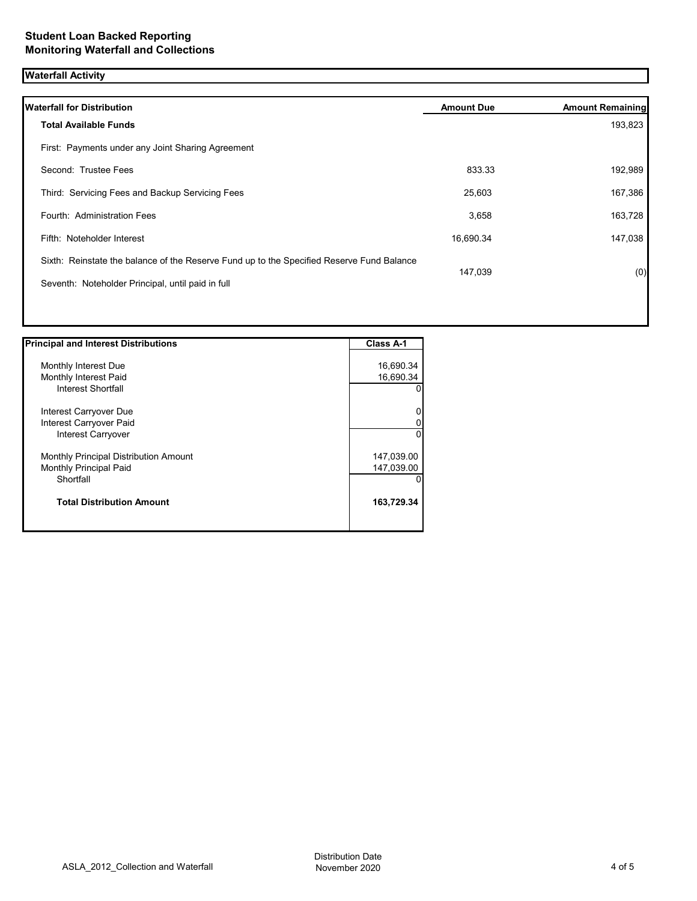# **Waterfall Activity**

| <b>Waterfall for Distribution</b>                                                         | <b>Amount Due</b> | <b>Amount Remaining</b> |
|-------------------------------------------------------------------------------------------|-------------------|-------------------------|
| <b>Total Available Funds</b>                                                              |                   | 193,823                 |
| First: Payments under any Joint Sharing Agreement                                         |                   |                         |
| Second: Trustee Fees                                                                      | 833.33            | 192,989                 |
| Third: Servicing Fees and Backup Servicing Fees                                           | 25,603            | 167,386                 |
| Fourth: Administration Fees                                                               | 3,658             | 163,728                 |
| Fifth: Noteholder Interest                                                                | 16,690.34         | 147,038                 |
| Sixth: Reinstate the balance of the Reserve Fund up to the Specified Reserve Fund Balance | 147,039           |                         |
| Seventh: Noteholder Principal, until paid in full                                         |                   | (0)                     |
|                                                                                           |                   |                         |
|                                                                                           |                   |                         |

| <b>Principal and Interest Distributions</b> | Class A-1  |
|---------------------------------------------|------------|
|                                             |            |
| Monthly Interest Due                        | 16,690.34  |
| Monthly Interest Paid                       | 16,690.34  |
| Interest Shortfall                          | 0          |
| Interest Carryover Due                      | 0          |
| Interest Carryover Paid                     | 0          |
| Interest Carryover                          | $\Omega$   |
| Monthly Principal Distribution Amount       | 147,039.00 |
| Monthly Principal Paid                      | 147,039.00 |
| Shortfall                                   | $\Omega$   |
| <b>Total Distribution Amount</b>            | 163,729.34 |
|                                             |            |

 $\overline{\phantom{a}}$